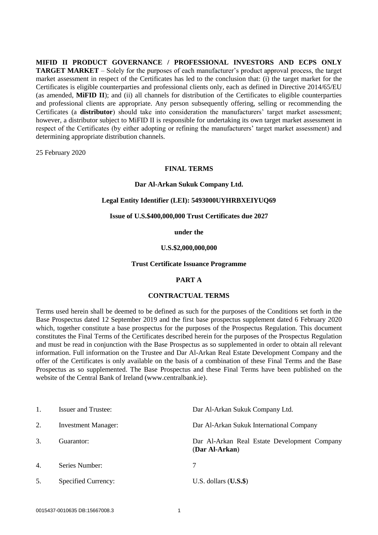**MIFID II PRODUCT GOVERNANCE / PROFESSIONAL INVESTORS AND ECPS ONLY TARGET MARKET** – Solely for the purposes of each manufacturer's product approval process, the target market assessment in respect of the Certificates has led to the conclusion that: (i) the target market for the Certificates is eligible counterparties and professional clients only, each as defined in Directive 2014/65/EU (as amended, **MiFID II**); and (ii) all channels for distribution of the Certificates to eligible counterparties and professional clients are appropriate. Any person subsequently offering, selling or recommending the Certificates (a **distributor**) should take into consideration the manufacturers' target market assessment; however, a distributor subject to MiFID II is responsible for undertaking its own target market assessment in respect of the Certificates (by either adopting or refining the manufacturers' target market assessment) and determining appropriate distribution channels.

25 February 2020

## **FINAL TERMS**

#### **Dar Al-Arkan Sukuk Company Ltd.**

## **Legal Entity Identifier (LEI): 5493000UYHRBXEIYUQ69**

#### **Issue of U.S.\$400,000,000 Trust Certificates due 2027**

**under the**

#### **U.S.\$2,000,000,000**

#### **Trust Certificate Issuance Programme**

## **PART A**

#### **CONTRACTUAL TERMS**

Terms used herein shall be deemed to be defined as such for the purposes of the Conditions set forth in the Base Prospectus dated 12 September 2019 and the first base prospectus supplement dated 6 February 2020 which, together constitute a base prospectus for the purposes of the Prospectus Regulation. This document constitutes the Final Terms of the Certificates described herein for the purposes of the Prospectus Regulation and must be read in conjunction with the Base Prospectus as so supplemented in order to obtain all relevant information. Full information on the Trustee and Dar Al-Arkan Real Estate Development Company and the offer of the Certificates is only available on the basis of a combination of these Final Terms and the Base Prospectus as so supplemented. The Base Prospectus and these Final Terms have been published on the website of the Central Bank of Ireland (www.centralbank.ie).

|    | <b>Issuer and Trustee:</b> | Dar Al-Arkan Sukuk Company Ltd.                                |
|----|----------------------------|----------------------------------------------------------------|
| 2. | <b>Investment Manager:</b> | Dar Al-Arkan Sukuk International Company                       |
| 3. | Guarantor:                 | Dar Al-Arkan Real Estate Development Company<br>(Dar Al-Arkan) |
| 4. | Series Number:             |                                                                |
| 5. | Specified Currency:        | U.S. dollars $(U.S.\$ \$                                       |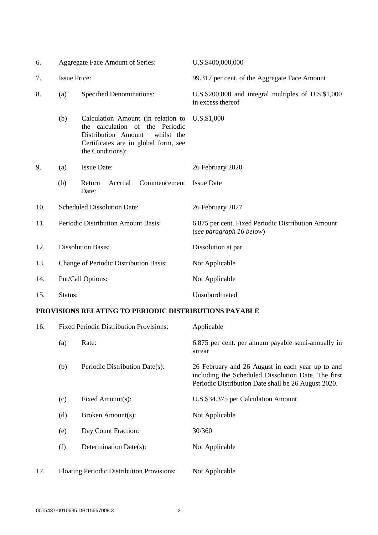| 6.  |                                        | Aggregate Face Amount of Series:                                                                                                                                       | U.S.\$400,000,000                                                              |
|-----|----------------------------------------|------------------------------------------------------------------------------------------------------------------------------------------------------------------------|--------------------------------------------------------------------------------|
| 7.  | <b>Issue Price:</b>                    |                                                                                                                                                                        | 99.317 per cent. of the Aggregate Face Amount                                  |
| 8.  | (a)                                    | <b>Specified Denominations:</b>                                                                                                                                        | U.S.\$200,000 and integral multiples of U.S.\$1,000<br>in excess thereof       |
|     | (b)                                    | Calculation Amount (in relation to<br>the calculation of the Periodic<br>whilst the<br>Distribution Amount<br>Certificates are in global form, see<br>the Conditions): | U.S.\$1,000                                                                    |
| 9.  | (a)                                    | <b>Issue Date:</b>                                                                                                                                                     | 26 February 2020                                                               |
|     | (b)                                    | Commencement<br>Return<br>Accrual<br>Date:                                                                                                                             | <b>Issue Date</b>                                                              |
| 10. | <b>Scheduled Dissolution Date:</b>     |                                                                                                                                                                        | 26 February 2027                                                               |
| 11. | Periodic Distribution Amount Basis:    |                                                                                                                                                                        | 6.875 per cent. Fixed Periodic Distribution Amount<br>(see paragraph 16 below) |
| 12. | <b>Dissolution Basis:</b>              |                                                                                                                                                                        | Dissolution at par                                                             |
| 13. | Change of Periodic Distribution Basis: |                                                                                                                                                                        | Not Applicable                                                                 |
| 14. | Put/Call Options:                      |                                                                                                                                                                        | Not Applicable                                                                 |
| 15. | Status:                                |                                                                                                                                                                        | Unsubordinated                                                                 |

# **PROVISIONS RELATING TO PERIODIC DISTRIBUTIONS PAYABLE**

| 16. |                                            | <b>Fixed Periodic Distribution Provisions:</b> | Applicable                                                                                                                                                     |
|-----|--------------------------------------------|------------------------------------------------|----------------------------------------------------------------------------------------------------------------------------------------------------------------|
|     | (a)                                        | Rate:                                          | 6.875 per cent. per annum payable semi-annually in<br>arrear                                                                                                   |
|     | (b)                                        | Periodic Distribution Date(s):                 | 26 February and 26 August in each year up to and<br>including the Scheduled Dissolution Date. The first<br>Periodic Distribution Date shall be 26 August 2020. |
|     | (c)                                        | Fixed Amount(s):                               | U.S.\$34.375 per Calculation Amount                                                                                                                            |
|     | (d)                                        | Broken Amount(s):                              | Not Applicable                                                                                                                                                 |
|     | (e)                                        | Day Count Fraction:                            | 30/360                                                                                                                                                         |
|     | (f)                                        | Determination Date(s):                         | Not Applicable                                                                                                                                                 |
| 17. | Floating Periodic Distribution Provisions: |                                                | Not Applicable                                                                                                                                                 |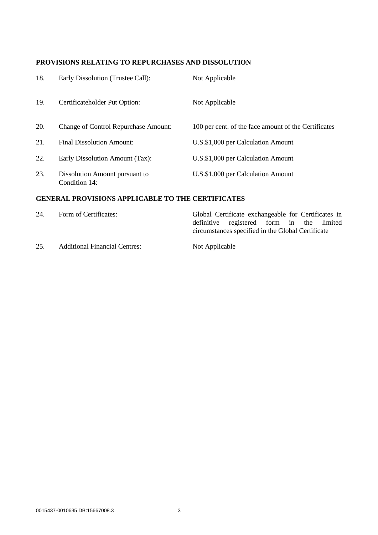# **PROVISIONS RELATING TO REPURCHASES AND DISSOLUTION**

| 18. | Early Dissolution (Trustee Call):               | Not Applicable                                       |
|-----|-------------------------------------------------|------------------------------------------------------|
| 19. | Certificateholder Put Option:                   | Not Applicable                                       |
| 20. | <b>Change of Control Repurchase Amount:</b>     | 100 per cent. of the face amount of the Certificates |
| 21. | Final Dissolution Amount:                       | U.S.\$1,000 per Calculation Amount                   |
| 22. | Early Dissolution Amount (Tax):                 | U.S.\$1,000 per Calculation Amount                   |
| 23. | Dissolution Amount pursuant to<br>Condition 14: | U.S.\$1,000 per Calculation Amount                   |

# **GENERAL PROVISIONS APPLICABLE TO THE CERTIFICATES**

| 24. | Form of Certificates:                | Global Certificate exchangeable for Certificates in                                            |  |  |
|-----|--------------------------------------|------------------------------------------------------------------------------------------------|--|--|
|     |                                      | definitive registered form in the limited<br>circumstances specified in the Global Certificate |  |  |
| 25. | <b>Additional Financial Centres:</b> | Not Applicable                                                                                 |  |  |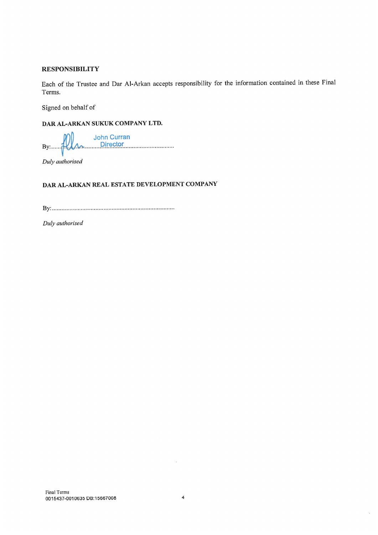## **RESPONSIBILITY**

Each of the Trustee and Dar Al-Arkan accepts responsibility for the information contained in these Final Terms.

Signed on behalf of

## DAR AL-ARKAN SUKUK COMPANY LTD.

**John Curran**  $\lambda$  Director  $By:...$ 

Duly authorised

## DAR AL-ARKAN REAL ESTATE DEVELOPMENT COMPANY

Duly authorised

 $\hat{\mathcal{R}}$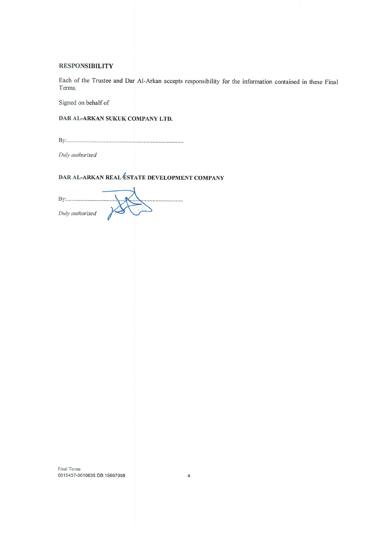#### **RESPONSIBILITY**

Each of the Trustee and Dar Al-Arkan accepts responsibility for the information contained in these Final Terms.

Signed on behalf of

DAR AL-ARKAN SUKUK COMPANY LTD.

Duly authorised

DAR AL-ARKAN REAL ESTATE DEVELOPMENT COMPANY

| Duly authorised |  |
|-----------------|--|

Final Terms 0015437-0010635 DB:15667008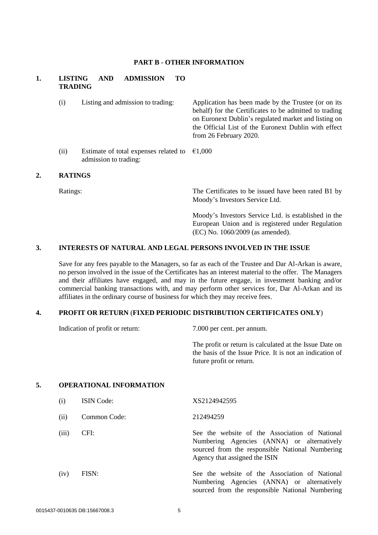#### **PART B - OTHER INFORMATION**

# **1. LISTING AND ADMISSION TO TRADING**

- (i) Listing and admission to trading: Application has been made by the Trustee (or on its behalf) for the Certificates to be admitted to trading on Euronext Dublin's regulated market and listing on the Official List of the Euronext Dublin with effect from 26 February 2020.
- (ii) Estimate of total expenses related to  $\epsilon$ 1,000 admission to trading:

#### **2. RATINGS**

Ratings: The Certificates to be issued have been rated B1 by Moody's Investors Service Ltd.

> Moody's Investors Service Ltd. is established in the European Union and is registered under Regulation (EC) No. 1060/2009 (as amended).

## **3. INTERESTS OF NATURAL AND LEGAL PERSONS INVOLVED IN THE ISSUE**

Save for any fees payable to the Managers, so far as each of the Trustee and Dar Al-Arkan is aware, no person involved in the issue of the Certificates has an interest material to the offer. The Managers and their affiliates have engaged, and may in the future engage, in investment banking and/or commercial banking transactions with, and may perform other services for, Dar Al-Arkan and its affiliates in the ordinary course of business for which they may receive fees.

## **4. PROFIT OR RETURN** (**FIXED PERIODIC DISTRIBUTION CERTIFICATES ONLY**)

Indication of profit or return: 7.000 per cent. per annum.

The profit or return is calculated at the Issue Date on the basis of the Issue Price. It is not an indication of future profit or return.

## **5. OPERATIONAL INFORMATION**

| (i)   | <b>ISIN</b> Code: | XS2124942595                                                                                                                                                                     |
|-------|-------------------|----------------------------------------------------------------------------------------------------------------------------------------------------------------------------------|
| (ii)  | Common Code:      | 212494259                                                                                                                                                                        |
| (iii) | CFI:              | See the website of the Association of National<br>Numbering Agencies (ANNA) or alternatively<br>sourced from the responsible National Numbering<br>Agency that assigned the ISIN |
| (iv)  | FISN:             | See the website of the Association of National<br>Numbering Agencies (ANNA) or alternatively<br>sourced from the responsible National Numbering                                  |